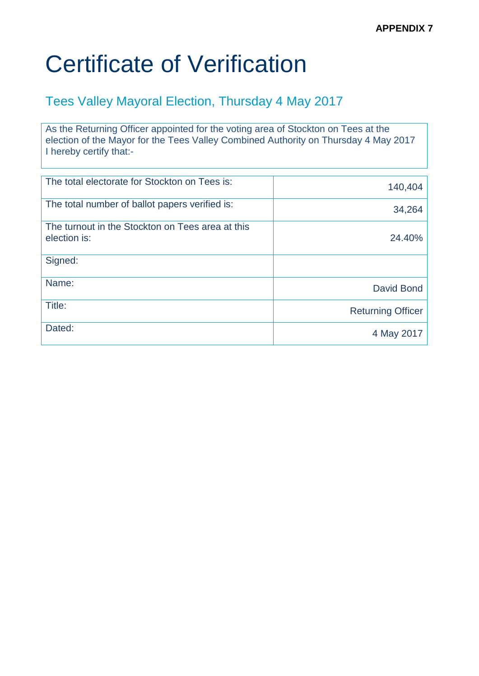#### Tees Valley Mayoral Election, Thursday 4 May 2017

As the Returning Officer appointed for the voting area of Stockton on Tees at the election of the Mayor for the Tees Valley Combined Authority on Thursday 4 May 2017 I hereby certify that:-

| The total electorate for Stockton on Tees is:                    | 140,404                  |
|------------------------------------------------------------------|--------------------------|
| The total number of ballot papers verified is:                   | 34,264                   |
| The turnout in the Stockton on Tees area at this<br>election is: | 24.40%                   |
| Signed:                                                          |                          |
| Name:                                                            | David Bond               |
| Title:                                                           | <b>Returning Officer</b> |
| Dated:                                                           | 4 May 2017               |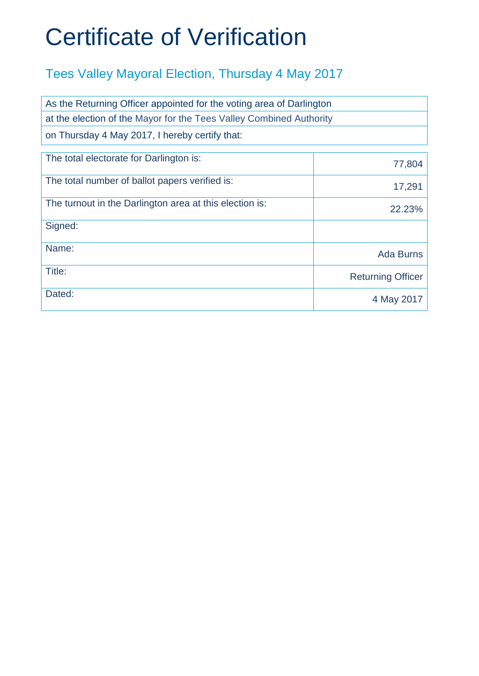| As the Returning Officer appointed for the voting area of Darlington |                          |  |
|----------------------------------------------------------------------|--------------------------|--|
| at the election of the Mayor for the Tees Valley Combined Authority  |                          |  |
| on Thursday 4 May 2017, I hereby certify that:                       |                          |  |
| The total electorate for Darlington is:                              | 77,804                   |  |
| The total number of ballot papers verified is:                       | 17,291                   |  |
| The turnout in the Darlington area at this election is:              | 22.23%                   |  |
| Signed:                                                              |                          |  |
| Name:                                                                | <b>Ada Burns</b>         |  |
| Title:                                                               | <b>Returning Officer</b> |  |
| Dated:                                                               | 4 May 2017               |  |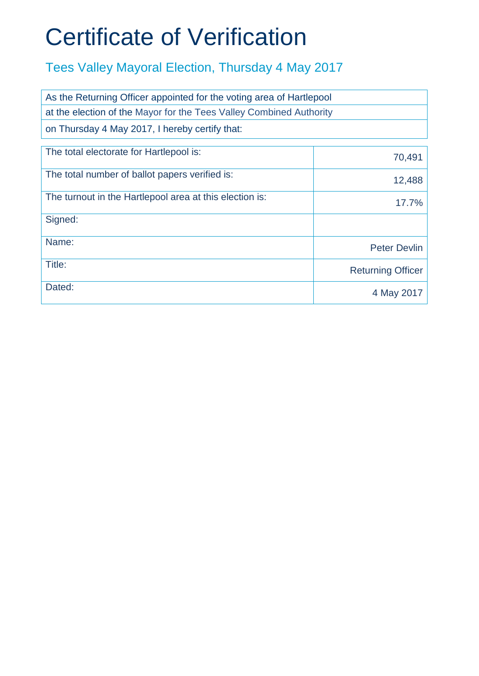| As the Returning Officer appointed for the voting area of Hartlepool |                          |  |
|----------------------------------------------------------------------|--------------------------|--|
| at the election of the Mayor for the Tees Valley Combined Authority  |                          |  |
| on Thursday 4 May 2017, I hereby certify that:                       |                          |  |
| The total electorate for Hartlepool is:                              | 70,491                   |  |
| The total number of ballot papers verified is:                       | 12,488                   |  |
| The turnout in the Hartlepool area at this election is:              | 17.7%                    |  |
| Signed:                                                              |                          |  |
| Name:                                                                | <b>Peter Devlin</b>      |  |
| Title:                                                               | <b>Returning Officer</b> |  |
| Dated:                                                               | 4 May 2017               |  |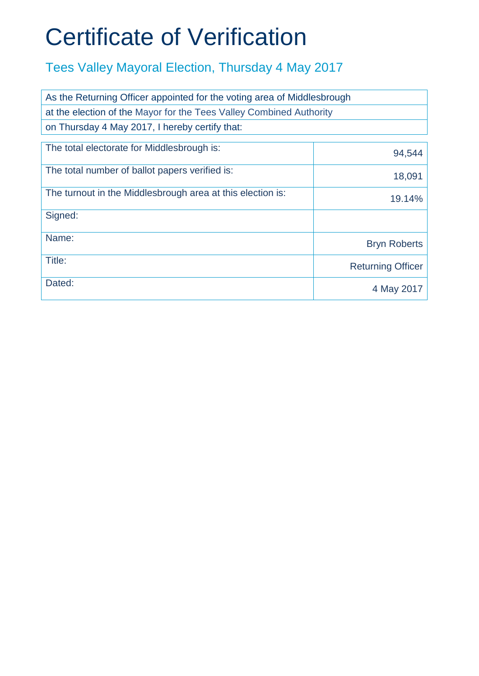| As the Returning Officer appointed for the voting area of Middlesbrough |                          |  |
|-------------------------------------------------------------------------|--------------------------|--|
| at the election of the Mayor for the Tees Valley Combined Authority     |                          |  |
| on Thursday 4 May 2017, I hereby certify that:                          |                          |  |
| The total electorate for Middlesbrough is:                              | 94,544                   |  |
| The total number of ballot papers verified is:                          | 18,091                   |  |
| The turnout in the Middlesbrough area at this election is:              | 19.14%                   |  |
| Signed:                                                                 |                          |  |
| Name:                                                                   | <b>Bryn Roberts</b>      |  |
| Title:                                                                  | <b>Returning Officer</b> |  |
| Dated:                                                                  | 4 May 2017               |  |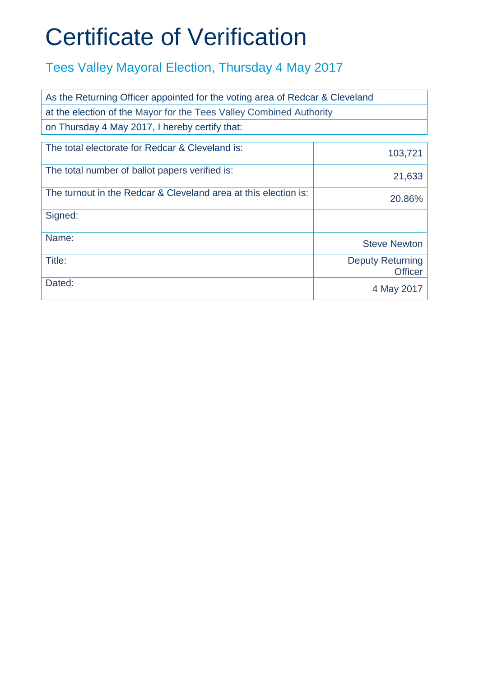| As the Returning Officer appointed for the voting area of Redcar & Cleveland |                                           |
|------------------------------------------------------------------------------|-------------------------------------------|
| at the election of the Mayor for the Tees Valley Combined Authority          |                                           |
| on Thursday 4 May 2017, I hereby certify that:                               |                                           |
| The total electorate for Redcar & Cleveland is:                              | 103,721                                   |
| The total number of ballot papers verified is:                               | 21,633                                    |
| The turnout in the Redcar & Cleveland area at this election is:              | 20.86%                                    |
| Signed:                                                                      |                                           |
| Name:                                                                        | <b>Steve Newton</b>                       |
| Title:                                                                       | <b>Deputy Returning</b><br><b>Officer</b> |
| Dated:                                                                       | 4 May 2017                                |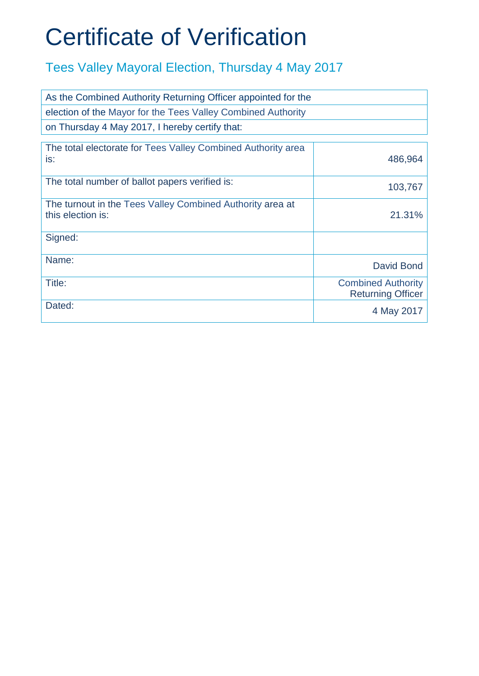| As the Combined Authority Returning Officer appointed for the                  |                                                       |
|--------------------------------------------------------------------------------|-------------------------------------------------------|
| election of the Mayor for the Tees Valley Combined Authority                   |                                                       |
| on Thursday 4 May 2017, I hereby certify that:                                 |                                                       |
| The total electorate for Tees Valley Combined Authority area<br>is:            | 486,964                                               |
| The total number of ballot papers verified is:                                 | 103,767                                               |
| The turnout in the Tees Valley Combined Authority area at<br>this election is: | 21.31%                                                |
| Signed:                                                                        |                                                       |
| Name:                                                                          | David Bond                                            |
| Title:                                                                         | <b>Combined Authority</b><br><b>Returning Officer</b> |
| Dated:                                                                         | 4 May 2017                                            |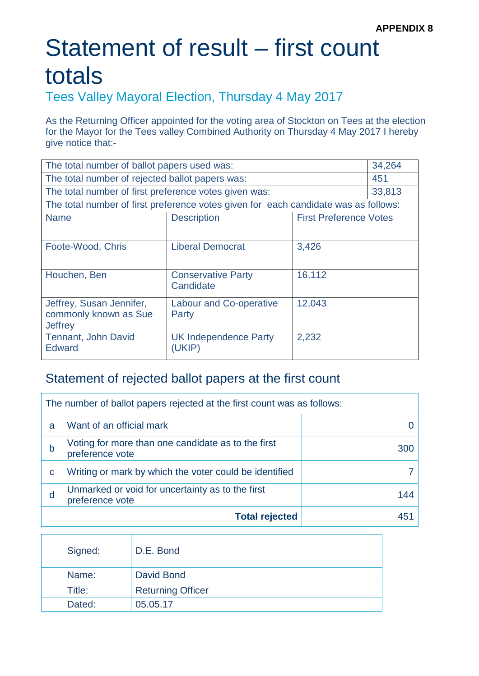#### Tees Valley Mayoral Election, Thursday 4 May 2017

As the Returning Officer appointed for the voting area of Stockton on Tees at the election for the Mayor for the Tees valley Combined Authority on Thursday 4 May 2017 I hereby give notice that:-

| The total number of ballot papers used was:           |                                                                                     |                               | 34,264 |
|-------------------------------------------------------|-------------------------------------------------------------------------------------|-------------------------------|--------|
| The total number of rejected ballot papers was:       |                                                                                     |                               | 451    |
| The total number of first preference votes given was: |                                                                                     |                               | 33,813 |
|                                                       | The total number of first preference votes given for each candidate was as follows: |                               |        |
| <b>Name</b>                                           | <b>Description</b>                                                                  | <b>First Preference Votes</b> |        |
|                                                       |                                                                                     |                               |        |
| Foote-Wood, Chris                                     | <b>Liberal Democrat</b>                                                             | 3,426                         |        |
|                                                       |                                                                                     |                               |        |
| Houchen, Ben                                          | <b>Conservative Party</b>                                                           | 16,112                        |        |
|                                                       | Candidate                                                                           |                               |        |
| Jeffrey, Susan Jennifer,                              | <b>Labour and Co-operative</b>                                                      | 12,043                        |        |
| commonly known as Sue                                 | Party                                                                               |                               |        |
| <b>Jeffrey</b>                                        |                                                                                     |                               |        |
| <b>Tennant, John David</b>                            | <b>UK Independence Party</b>                                                        | 2,232                         |        |
| Edward                                                | (UKIP)                                                                              |                               |        |

|   | The number of ballot papers rejected at the first count was as follows: |     |
|---|-------------------------------------------------------------------------|-----|
| a | Want of an official mark                                                |     |
| b | Voting for more than one candidate as to the first<br>preference vote   | 300 |
| C | Writing or mark by which the voter could be identified                  |     |
| d | Unmarked or void for uncertainty as to the first<br>preference vote     | 144 |
|   | <b>Total rejected</b>                                                   | 451 |

| Signed: | D.E. Bond                |
|---------|--------------------------|
| Name:   | David Bond               |
| Title:  | <b>Returning Officer</b> |
| Dated:  | 05.05.17                 |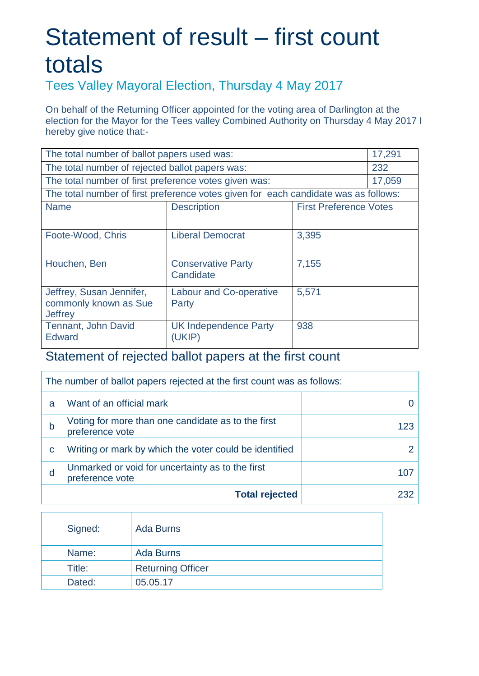Tees Valley Mayoral Election, Thursday 4 May 2017

On behalf of the Returning Officer appointed for the voting area of Darlington at the election for the Mayor for the Tees valley Combined Authority on Thursday 4 May 2017 I hereby give notice that:-

| The total number of ballot papers used was:<br>17,291 |                                                                                     |                               |        |
|-------------------------------------------------------|-------------------------------------------------------------------------------------|-------------------------------|--------|
| The total number of rejected ballot papers was:       |                                                                                     |                               | 232    |
| The total number of first preference votes given was: |                                                                                     |                               | 17,059 |
|                                                       | The total number of first preference votes given for each candidate was as follows: |                               |        |
| <b>Name</b>                                           | <b>Description</b>                                                                  | <b>First Preference Votes</b> |        |
|                                                       |                                                                                     |                               |        |
| Foote-Wood, Chris                                     | <b>Liberal Democrat</b>                                                             | 3,395                         |        |
|                                                       |                                                                                     |                               |        |
| Houchen, Ben                                          | <b>Conservative Party</b>                                                           | 7,155                         |        |
|                                                       | Candidate                                                                           |                               |        |
| Jeffrey, Susan Jennifer,                              | <b>Labour and Co-operative</b>                                                      | 5,571                         |        |
| commonly known as Sue<br>Jeffrey                      | Party                                                                               |                               |        |
| <b>Tennant, John David</b>                            | <b>UK Independence Party</b>                                                        | 938                           |        |
| <b>Edward</b>                                         | (UKIP)                                                                              |                               |        |

| The number of ballot papers rejected at the first count was as follows: |                                                                       |     |
|-------------------------------------------------------------------------|-----------------------------------------------------------------------|-----|
| a                                                                       | Want of an official mark                                              |     |
| b                                                                       | Voting for more than one candidate as to the first<br>preference vote | 123 |
| C                                                                       | Writing or mark by which the voter could be identified                |     |
| d                                                                       | Unmarked or void for uncertainty as to the first<br>preference vote   | 107 |
|                                                                         | <b>Total rejected</b>                                                 | 232 |

| Signed: | Ada Burns                |
|---------|--------------------------|
| Name:   | <b>Ada Burns</b>         |
| Title:  | <b>Returning Officer</b> |
| Dated:  | 05.05.17                 |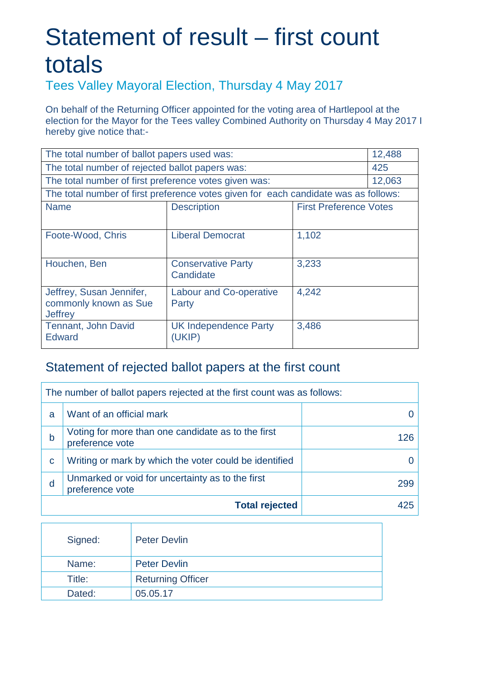Tees Valley Mayoral Election, Thursday 4 May 2017

On behalf of the Returning Officer appointed for the voting area of Hartlepool at the election for the Mayor for the Tees valley Combined Authority on Thursday 4 May 2017 I hereby give notice that:-

| The total number of ballot papers used was:           |                                                                                     |                               |        |  |
|-------------------------------------------------------|-------------------------------------------------------------------------------------|-------------------------------|--------|--|
| The total number of rejected ballot papers was:       |                                                                                     |                               | 425    |  |
| The total number of first preference votes given was: |                                                                                     |                               | 12,063 |  |
|                                                       | The total number of first preference votes given for each candidate was as follows: |                               |        |  |
| <b>Name</b>                                           | <b>Description</b>                                                                  | <b>First Preference Votes</b> |        |  |
|                                                       |                                                                                     |                               |        |  |
| Foote-Wood, Chris                                     | <b>Liberal Democrat</b>                                                             | 1,102                         |        |  |
|                                                       |                                                                                     |                               |        |  |
| Houchen, Ben                                          | <b>Conservative Party</b>                                                           | 3,233                         |        |  |
|                                                       | Candidate                                                                           |                               |        |  |
| Jeffrey, Susan Jennifer,                              | <b>Labour and Co-operative</b>                                                      | 4,242                         |        |  |
| commonly known as Sue                                 | Party                                                                               |                               |        |  |
| <b>Jeffrey</b>                                        |                                                                                     |                               |        |  |
| Tennant, John David                                   | <b>UK Independence Party</b>                                                        | 3,486                         |        |  |
| <b>Edward</b>                                         | (UKIP)                                                                              |                               |        |  |

| The number of ballot papers rejected at the first count was as follows: |                                                                       |     |  |
|-------------------------------------------------------------------------|-----------------------------------------------------------------------|-----|--|
| a                                                                       | Want of an official mark                                              |     |  |
| b                                                                       | Voting for more than one candidate as to the first<br>preference vote | 126 |  |
| C                                                                       | Writing or mark by which the voter could be identified                |     |  |
| d                                                                       | Unmarked or void for uncertainty as to the first<br>preference vote   | 299 |  |
| <b>Total rejected</b><br>425                                            |                                                                       |     |  |

| Signed: | <b>Peter Devlin</b>      |
|---------|--------------------------|
| Name:   | <b>Peter Devlin</b>      |
| Title:  | <b>Returning Officer</b> |
| Dated:  | 05.05.17                 |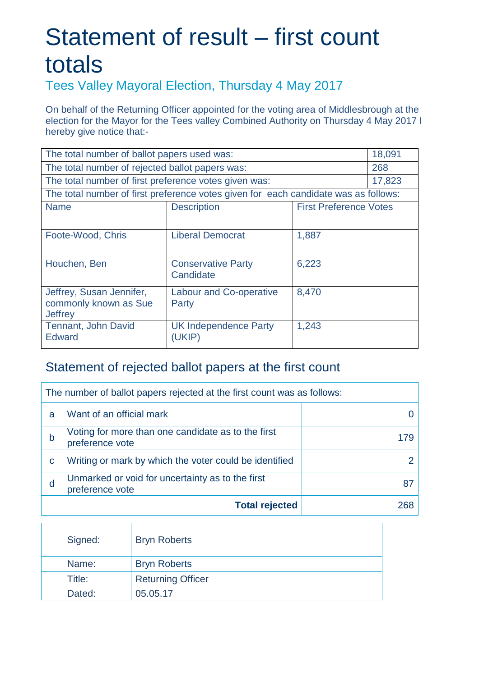Tees Valley Mayoral Election, Thursday 4 May 2017

On behalf of the Returning Officer appointed for the voting area of Middlesbrough at the election for the Mayor for the Tees valley Combined Authority on Thursday 4 May 2017 I hereby give notice that:-

| 18,091<br>The total number of ballot papers used was:        |                                                                                     |                               |        |  |
|--------------------------------------------------------------|-------------------------------------------------------------------------------------|-------------------------------|--------|--|
| The total number of rejected ballot papers was:              |                                                                                     |                               | 268    |  |
| The total number of first preference votes given was:        |                                                                                     |                               | 17,823 |  |
|                                                              | The total number of first preference votes given for each candidate was as follows: |                               |        |  |
| <b>Name</b>                                                  | <b>Description</b>                                                                  | <b>First Preference Votes</b> |        |  |
|                                                              |                                                                                     |                               |        |  |
| Foote-Wood, Chris                                            | <b>Liberal Democrat</b>                                                             | 1,887                         |        |  |
|                                                              |                                                                                     |                               |        |  |
| Houchen, Ben                                                 | <b>Conservative Party</b>                                                           | 6,223                         |        |  |
|                                                              | Candidate                                                                           |                               |        |  |
| Jeffrey, Susan Jennifer,                                     | <b>Labour and Co-operative</b>                                                      | 8,470                         |        |  |
| commonly known as Sue<br><b>Jeffrey</b>                      | Party                                                                               |                               |        |  |
| 1,243<br>Tennant, John David<br><b>UK Independence Party</b> |                                                                                     |                               |        |  |
| <b>Edward</b>                                                | (UKIP)                                                                              |                               |        |  |
|                                                              |                                                                                     |                               |        |  |

| The number of ballot papers rejected at the first count was as follows: |                                                                       |     |  |
|-------------------------------------------------------------------------|-----------------------------------------------------------------------|-----|--|
| a                                                                       | Want of an official mark                                              |     |  |
| b                                                                       | Voting for more than one candidate as to the first<br>preference vote | 179 |  |
| C                                                                       | Writing or mark by which the voter could be identified                |     |  |
| d                                                                       | Unmarked or void for uncertainty as to the first<br>preference vote   | 87  |  |
|                                                                         | <b>Total rejected</b>                                                 | 268 |  |

| Signed: | <b>Bryn Roberts</b>      |
|---------|--------------------------|
| Name:   | <b>Bryn Roberts</b>      |
| Title:  | <b>Returning Officer</b> |
| Dated:  | 05.05.17                 |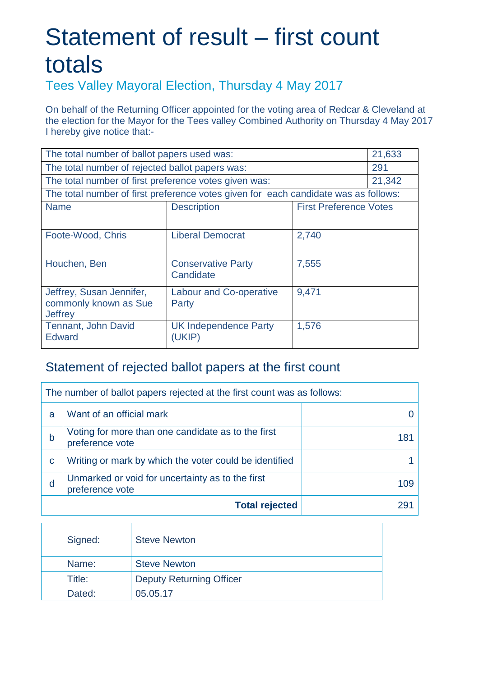Tees Valley Mayoral Election, Thursday 4 May 2017

On behalf of the Returning Officer appointed for the voting area of Redcar & Cleveland at the election for the Mayor for the Tees valley Combined Authority on Thursday 4 May 2017 I hereby give notice that:-

| The total number of ballot papers used was:<br>21,633 |                                                                                     |                               |        |
|-------------------------------------------------------|-------------------------------------------------------------------------------------|-------------------------------|--------|
| The total number of rejected ballot papers was:       |                                                                                     |                               | 291    |
| The total number of first preference votes given was: |                                                                                     |                               | 21,342 |
|                                                       | The total number of first preference votes given for each candidate was as follows: |                               |        |
| <b>Name</b>                                           | <b>Description</b>                                                                  | <b>First Preference Votes</b> |        |
|                                                       |                                                                                     |                               |        |
| Foote-Wood, Chris                                     | <b>Liberal Democrat</b>                                                             | 2,740                         |        |
|                                                       |                                                                                     |                               |        |
| Houchen, Ben                                          | <b>Conservative Party</b>                                                           | 7,555                         |        |
|                                                       | Candidate                                                                           |                               |        |
| Jeffrey, Susan Jennifer,                              | <b>Labour and Co-operative</b>                                                      | 9,471                         |        |
| commonly known as Sue<br><b>Jeffrey</b>               | Party                                                                               |                               |        |
| Tennant, John David                                   | 1,576<br><b>UK Independence Party</b>                                               |                               |        |
| <b>Edward</b>                                         | (UKIP)                                                                              |                               |        |

| The number of ballot papers rejected at the first count was as follows: |                                                                       |     |  |
|-------------------------------------------------------------------------|-----------------------------------------------------------------------|-----|--|
| a                                                                       | Want of an official mark                                              |     |  |
| b                                                                       | Voting for more than one candidate as to the first<br>preference vote | 181 |  |
| C                                                                       | Writing or mark by which the voter could be identified                |     |  |
| d                                                                       | Unmarked or void for uncertainty as to the first<br>preference vote   | 109 |  |
|                                                                         | <b>Total rejected</b>                                                 | 29  |  |

| Signed: | <b>Steve Newton</b>             |
|---------|---------------------------------|
| Name:   | <b>Steve Newton</b>             |
| Title:  | <b>Deputy Returning Officer</b> |
| Dated:  | 05.05.17                        |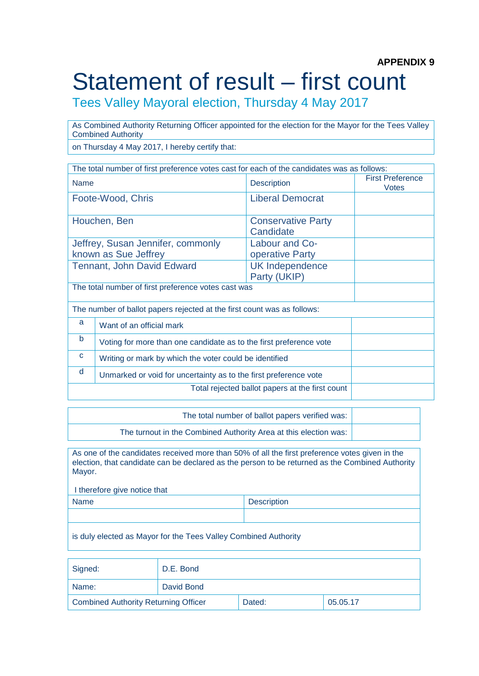Tees Valley Mayoral election, Thursday 4 May 2017

As Combined Authority Returning Officer appointed for the election for the Mayor for the Tees Valley Combined Authority

on Thursday 4 May 2017, I hereby certify that:

| The total number of first preference votes cast for each of the candidates was as follows:     |                                                                         |                                        |                                         |  |
|------------------------------------------------------------------------------------------------|-------------------------------------------------------------------------|----------------------------------------|-----------------------------------------|--|
| <b>Name</b>                                                                                    |                                                                         | <b>Description</b>                     | <b>First Preference</b><br><b>Votes</b> |  |
|                                                                                                | Foote-Wood, Chris                                                       | <b>Liberal Democrat</b>                |                                         |  |
|                                                                                                | Houchen, Ben                                                            | <b>Conservative Party</b><br>Candidate |                                         |  |
| Jeffrey, Susan Jennifer, commonly<br>Labour and Co-<br>known as Sue Jeffrey<br>operative Party |                                                                         |                                        |                                         |  |
| <b>Tennant, John David Edward</b><br><b>UK Independence</b><br>Party (UKIP)                    |                                                                         |                                        |                                         |  |
| The total number of first preference votes cast was                                            |                                                                         |                                        |                                         |  |
|                                                                                                | The number of ballot papers rejected at the first count was as follows: |                                        |                                         |  |
| a                                                                                              | Want of an official mark                                                |                                        |                                         |  |
| b                                                                                              | Voting for more than one candidate as to the first preference vote      |                                        |                                         |  |
| C<br>Writing or mark by which the voter could be identified                                    |                                                                         |                                        |                                         |  |
| d                                                                                              | Unmarked or void for uncertainty as to the first preference vote        |                                        |                                         |  |
|                                                                                                | Total rejected ballot papers at the first count                         |                                        |                                         |  |

The total number of ballot papers verified was:

The turnout in the Combined Authority Area at this election was:

As one of the candidates received more than 50% of all the first preference votes given in the election, that candidate can be declared as the person to be returned as the Combined Authority Mayor.

| <b>Description</b> |
|--------------------|
|                    |
|                    |

is duly elected as Mayor for the Tees Valley Combined Authority

| Signed:                              | D.E. Bond  |        |          |
|--------------------------------------|------------|--------|----------|
| Name:                                | David Bond |        |          |
| Combined Authority Returning Officer |            | Dated: | 05.05.17 |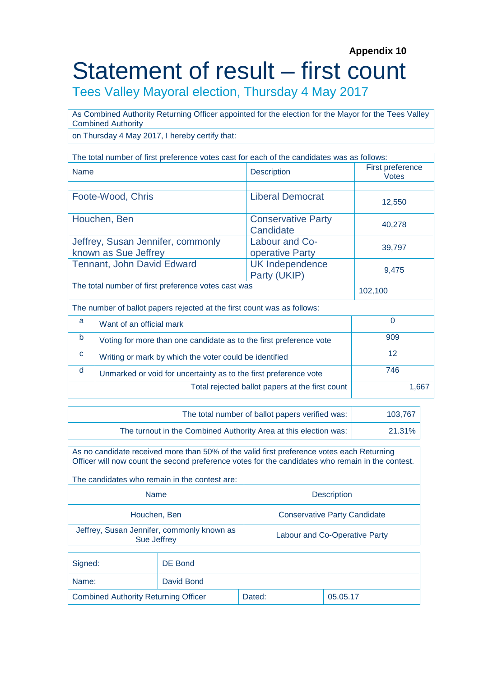#### **Appendix 10** Statement of result – first count

Tees Valley Mayoral election, Thursday 4 May 2017

As Combined Authority Returning Officer appointed for the election for the Mayor for the Tees Valley Combined Authority

on Thursday 4 May 2017, I hereby certify that:

| The total number of first preference votes cast for each of the candidates was as follows: |                                                                    |                                        |                                  |  |  |
|--------------------------------------------------------------------------------------------|--------------------------------------------------------------------|----------------------------------------|----------------------------------|--|--|
| <b>Name</b>                                                                                |                                                                    | <b>Description</b>                     | First preference<br><b>Votes</b> |  |  |
|                                                                                            |                                                                    |                                        |                                  |  |  |
|                                                                                            | Foote-Wood, Chris                                                  | <b>Liberal Democrat</b>                | 12,550                           |  |  |
|                                                                                            | Houchen, Ben                                                       | <b>Conservative Party</b><br>Candidate | 40,278                           |  |  |
|                                                                                            | Jeffrey, Susan Jennifer, commonly<br>known as Sue Jeffrey          | 39,797                                 |                                  |  |  |
|                                                                                            | <b>Tennant, John David Edward</b>                                  | 9,475                                  |                                  |  |  |
|                                                                                            | The total number of first preference votes cast was                | 102,100                                |                                  |  |  |
| The number of ballot papers rejected at the first count was as follows:                    |                                                                    |                                        |                                  |  |  |
| a                                                                                          | Want of an official mark                                           | $\Omega$                               |                                  |  |  |
| b                                                                                          | Voting for more than one candidate as to the first preference vote | 909                                    |                                  |  |  |
| C                                                                                          | Writing or mark by which the voter could be identified             | 12                                     |                                  |  |  |
| 746<br>d<br>Unmarked or void for uncertainty as to the first preference vote               |                                                                    |                                        |                                  |  |  |
|                                                                                            | Total rejected ballot papers at the first count                    | 1,667                                  |                                  |  |  |

| The total number of ballot papers verified was:                  | 103.767 |
|------------------------------------------------------------------|---------|
| The turnout in the Combined Authority Area at this election was: | 21.31%  |

As no candidate received more than 50% of the valid first preference votes each Returning Officer will now count the second preference votes for the candidates who remain in the contest.

The candidates who remain in the contest are: Name **Name Description** Houchen, Ben **Conservative Party Candidate** Jeffrey, Susan Jennifer, commonly known as Labour and Co-Operative Party

| Signed:                                     | DE Bond    |        |          |
|---------------------------------------------|------------|--------|----------|
| Name:                                       | David Bond |        |          |
| <b>Combined Authority Returning Officer</b> |            | Dated: | 05.05.17 |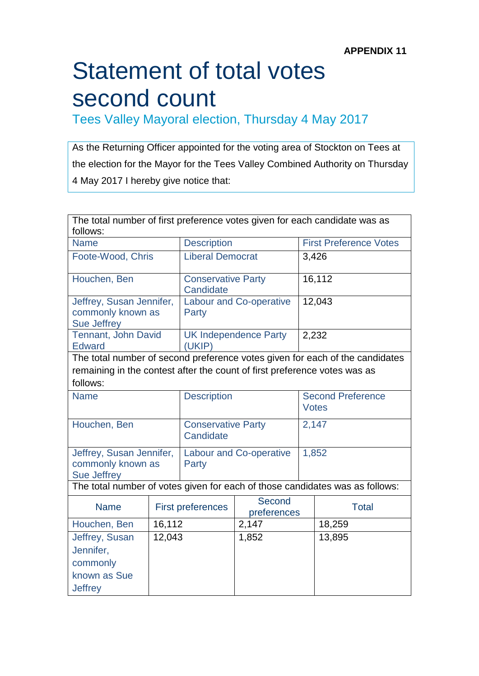Tees Valley Mayoral election, Thursday 4 May 2017

As the Returning Officer appointed for the voting area of Stockton on Tees at the election for the Mayor for the Tees Valley Combined Authority on Thursday 4 May 2017 I hereby give notice that:

| The total number of first preference votes given for each candidate was as |        |                                                   |                              |  |                                                                              |  |
|----------------------------------------------------------------------------|--------|---------------------------------------------------|------------------------------|--|------------------------------------------------------------------------------|--|
| follows:                                                                   |        |                                                   |                              |  |                                                                              |  |
| <b>Name</b>                                                                |        | <b>Description</b>                                |                              |  | <b>First Preference Votes</b>                                                |  |
| Foote-Wood, Chris                                                          |        | <b>Liberal Democrat</b>                           |                              |  | 3,426                                                                        |  |
| Houchen, Ben                                                               |        | <b>Conservative Party</b><br>Candidate            |                              |  | 16,112                                                                       |  |
| Jeffrey, Susan Jennifer,<br>commonly known as<br><b>Sue Jeffrey</b>        |        | <b>Labour and Co-operative</b><br>Party           |                              |  | 12,043                                                                       |  |
| Tennant, John David<br><b>Edward</b>                                       |        | (UKIP)                                            | <b>UK Independence Party</b> |  | 2,232                                                                        |  |
|                                                                            |        |                                                   |                              |  | The total number of second preference votes given for each of the candidates |  |
| remaining in the contest after the count of first preference votes was as  |        |                                                   |                              |  |                                                                              |  |
| follows:                                                                   |        |                                                   |                              |  |                                                                              |  |
| <b>Name</b>                                                                |        | <b>Description</b>                                |                              |  | <b>Second Preference</b><br><b>Votes</b>                                     |  |
| Houchen, Ben                                                               |        | <b>Conservative Party</b><br>Candidate            |                              |  | 2,147                                                                        |  |
| Jeffrey, Susan Jennifer,<br>commonly known as<br><b>Sue Jeffrey</b>        |        | <b>Labour and Co-operative</b><br>Party           |                              |  | 1,852                                                                        |  |
|                                                                            |        |                                                   |                              |  | The total number of votes given for each of those candidates was as follows: |  |
| <b>Name</b>                                                                |        | Second<br><b>First preferences</b><br>preferences |                              |  | <b>Total</b>                                                                 |  |
| Houchen, Ben                                                               | 16,112 |                                                   | 2,147                        |  | 18,259                                                                       |  |
| Jeffrey, Susan<br>Jennifer,<br>commonly<br>known as Sue<br><b>Jeffrey</b>  | 12,043 |                                                   | 1,852                        |  | 13,895                                                                       |  |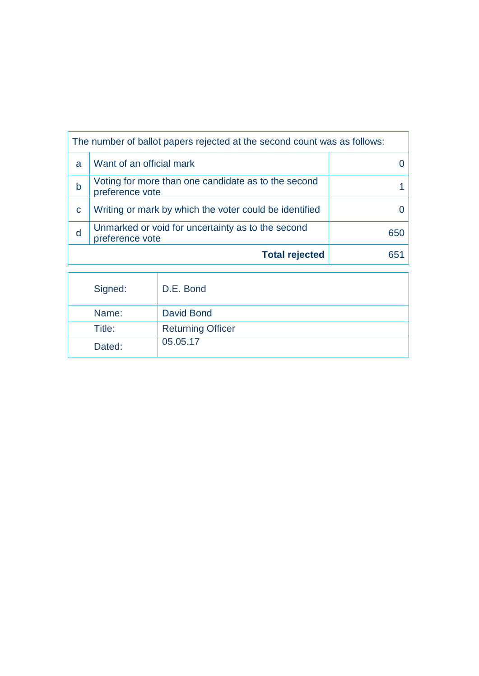|   | The number of ballot papers rejected at the second count was as follows: |  |  |  |  |
|---|--------------------------------------------------------------------------|--|--|--|--|
| a | Want of an official mark                                                 |  |  |  |  |
| b | Voting for more than one candidate as to the second<br>preference vote   |  |  |  |  |
| C | Writing or mark by which the voter could be identified                   |  |  |  |  |
| d | 650                                                                      |  |  |  |  |
|   | <b>Total rejected</b>                                                    |  |  |  |  |

| Signed: | D.E. Bond                |
|---------|--------------------------|
| Name:   | David Bond               |
| Title:  | <b>Returning Officer</b> |
| Dated:  | 05.05.17                 |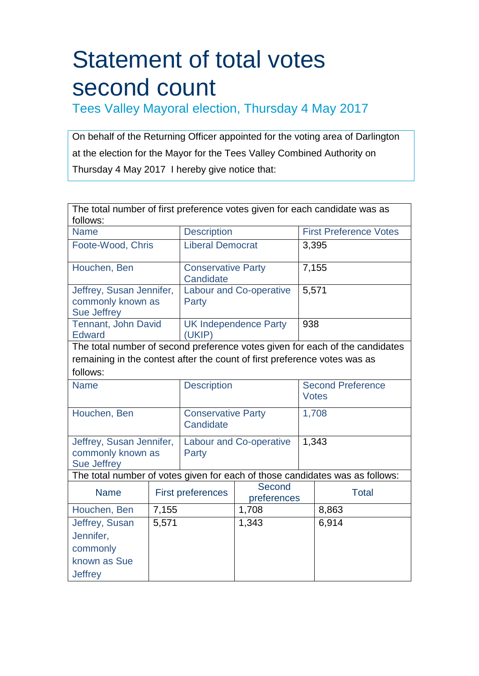Tees Valley Mayoral election, Thursday 4 May 2017

On behalf of the Returning Officer appointed for the voting area of Darlington at the election for the Mayor for the Tees Valley Combined Authority on Thursday 4 May 2017 I hereby give notice that:

| The total number of first preference votes given for each candidate was as<br>follows: |       |                                                   |                              |       |                                                                              |  |
|----------------------------------------------------------------------------------------|-------|---------------------------------------------------|------------------------------|-------|------------------------------------------------------------------------------|--|
| <b>Name</b>                                                                            |       | <b>Description</b>                                |                              |       | <b>First Preference Votes</b>                                                |  |
| Foote-Wood, Chris                                                                      |       | <b>Liberal Democrat</b>                           |                              |       | 3,395                                                                        |  |
| Houchen, Ben                                                                           |       | <b>Conservative Party</b><br>Candidate            |                              |       | 7,155                                                                        |  |
| Jeffrey, Susan Jennifer,<br>commonly known as<br><b>Sue Jeffrey</b>                    |       | <b>Labour and Co-operative</b><br>Party           |                              | 5,571 |                                                                              |  |
| Tennant, John David<br><b>Edward</b>                                                   |       | (UKIP)                                            | <b>UK Independence Party</b> | 938   |                                                                              |  |
|                                                                                        |       |                                                   |                              |       | The total number of second preference votes given for each of the candidates |  |
| remaining in the contest after the count of first preference votes was as              |       |                                                   |                              |       |                                                                              |  |
| follows:                                                                               |       |                                                   |                              |       |                                                                              |  |
| <b>Name</b>                                                                            |       | <b>Description</b>                                |                              |       | <b>Second Preference</b><br><b>Votes</b>                                     |  |
| Houchen, Ben                                                                           |       | <b>Conservative Party</b><br>Candidate            |                              |       | 1,708                                                                        |  |
| Jeffrey, Susan Jennifer,<br>commonly known as<br><b>Sue Jeffrey</b>                    |       | <b>Labour and Co-operative</b><br>Party           |                              |       | 1,343                                                                        |  |
|                                                                                        |       |                                                   |                              |       | The total number of votes given for each of those candidates was as follows: |  |
| <b>Name</b>                                                                            |       | Second<br><b>First preferences</b><br>preferences |                              |       | <b>Total</b>                                                                 |  |
| Houchen, Ben                                                                           | 7,155 |                                                   | 1,708                        |       | 8,863                                                                        |  |
| Jeffrey, Susan<br>Jennifer,<br>commonly<br>known as Sue<br><b>Jeffrey</b>              | 5,571 |                                                   | 1,343                        |       | 6,914                                                                        |  |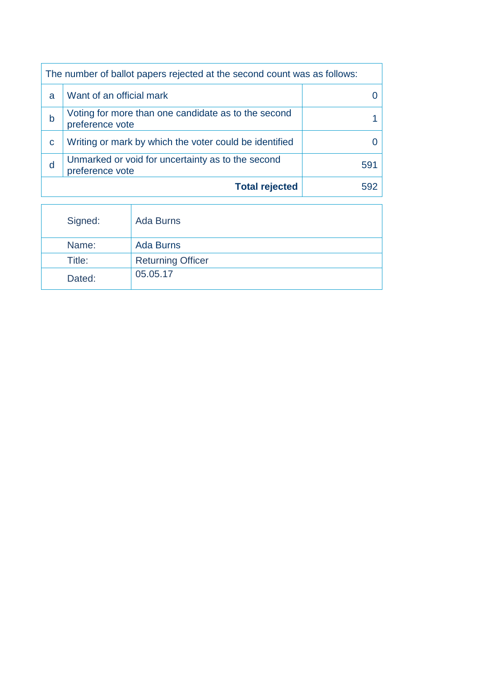| The number of ballot papers rejected at the second count was as follows: |                                                                        |     |  |  |
|--------------------------------------------------------------------------|------------------------------------------------------------------------|-----|--|--|
| a                                                                        | Want of an official mark                                               |     |  |  |
| b                                                                        | Voting for more than one candidate as to the second<br>preference vote |     |  |  |
| C                                                                        | Writing or mark by which the voter could be identified                 |     |  |  |
| d                                                                        | Unmarked or void for uncertainty as to the second<br>preference vote   | 591 |  |  |
|                                                                          | <b>Total rejected</b>                                                  | 592 |  |  |

| Signed: | <b>Ada Burns</b>         |
|---------|--------------------------|
| Name:   | <b>Ada Burns</b>         |
| Title:  | <b>Returning Officer</b> |
| Dated:  | 05.05.17                 |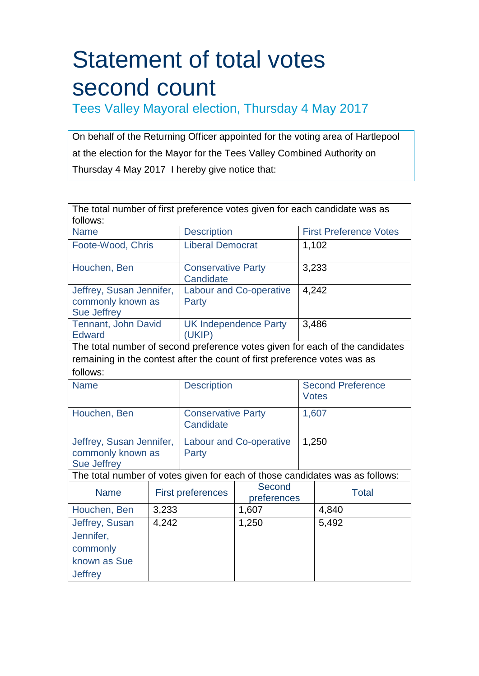Tees Valley Mayoral election, Thursday 4 May 2017

On behalf of the Returning Officer appointed for the voting area of Hartlepool at the election for the Mayor for the Tees Valley Combined Authority on Thursday 4 May 2017 I hereby give notice that:

| The total number of first preference votes given for each candidate was as         |       |                                                   |                              |       |                                                                              |  |
|------------------------------------------------------------------------------------|-------|---------------------------------------------------|------------------------------|-------|------------------------------------------------------------------------------|--|
| follows:                                                                           |       |                                                   |                              |       |                                                                              |  |
| <b>Name</b>                                                                        |       | <b>Description</b>                                |                              |       | <b>First Preference Votes</b>                                                |  |
| Foote-Wood, Chris                                                                  |       | <b>Liberal Democrat</b>                           |                              |       | 1,102                                                                        |  |
| Houchen, Ben                                                                       |       | <b>Conservative Party</b><br>Candidate            |                              |       | 3,233                                                                        |  |
| Jeffrey, Susan Jennifer,<br>commonly known as<br><b>Sue Jeffrey</b>                |       | <b>Labour and Co-operative</b><br>Party           |                              |       | 4,242                                                                        |  |
| Tennant, John David<br><b>Edward</b>                                               |       | (UKIP)                                            | <b>UK Independence Party</b> | 3,486 |                                                                              |  |
|                                                                                    |       |                                                   |                              |       | The total number of second preference votes given for each of the candidates |  |
| remaining in the contest after the count of first preference votes was as          |       |                                                   |                              |       |                                                                              |  |
| follows:                                                                           |       |                                                   |                              |       |                                                                              |  |
| <b>Name</b>                                                                        |       | <b>Description</b>                                |                              |       | <b>Second Preference</b><br><b>Votes</b>                                     |  |
| Houchen, Ben                                                                       |       | <b>Conservative Party</b><br>Candidate            |                              |       | 1,607                                                                        |  |
| Jeffrey, Susan Jennifer,<br>commonly known as<br><b>Sue Jeffrey</b>                |       | <b>Labour and Co-operative</b><br>Party           |                              |       | 1,250                                                                        |  |
|                                                                                    |       |                                                   |                              |       | The total number of votes given for each of those candidates was as follows: |  |
| <b>Name</b>                                                                        |       | Second<br><b>First preferences</b><br>preferences |                              |       | <b>Total</b>                                                                 |  |
| Houchen, Ben                                                                       | 3,233 |                                                   | 1,607                        |       | 4,840                                                                        |  |
| Jeffrey, Susan<br>4,242<br>Jennifer,<br>commonly<br>known as Sue<br><b>Jeffrey</b> |       |                                                   | 1,250                        |       | 5,492                                                                        |  |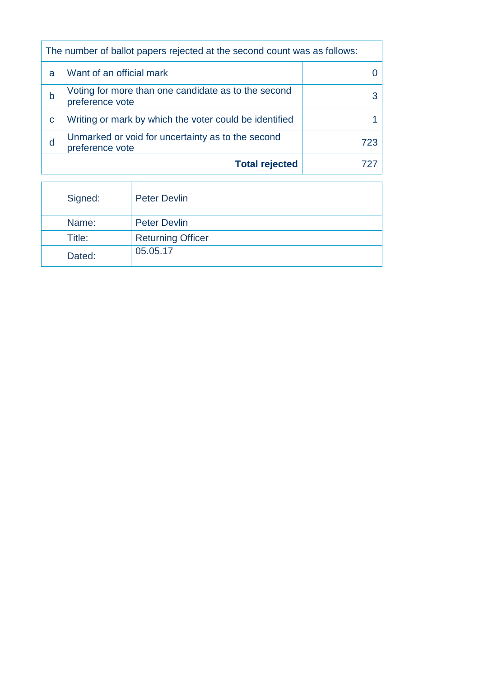|   | The number of ballot papers rejected at the second count was as follows:    |  |  |  |  |
|---|-----------------------------------------------------------------------------|--|--|--|--|
| a | Want of an official mark                                                    |  |  |  |  |
| h | Voting for more than one candidate as to the second<br>preference vote      |  |  |  |  |
| C | Writing or mark by which the voter could be identified                      |  |  |  |  |
| d | Unmarked or void for uncertainty as to the second<br>723<br>preference vote |  |  |  |  |
|   | <b>Total rejected</b>                                                       |  |  |  |  |

| Signed: | <b>Peter Devlin</b>      |
|---------|--------------------------|
| Name:   | <b>Peter Devlin</b>      |
| Title:  | <b>Returning Officer</b> |
| Dated:  | 05.05.17                 |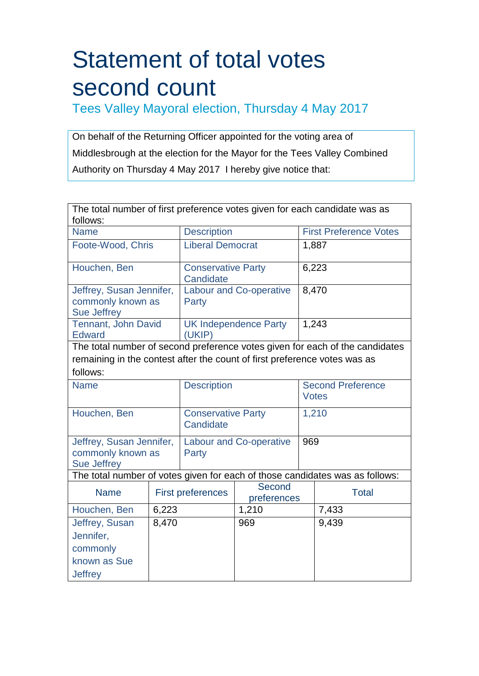Tees Valley Mayoral election, Thursday 4 May 2017

On behalf of the Returning Officer appointed for the voting area of Middlesbrough at the election for the Mayor for the Tees Valley Combined Authority on Thursday 4 May 2017 I hereby give notice that:

|                                                                     |                                         | The total number of first preference votes given for each candidate was as<br>follows: |                                                                                             |                                                                                                                                                                                                                                                                                            |  |  |
|---------------------------------------------------------------------|-----------------------------------------|----------------------------------------------------------------------------------------|---------------------------------------------------------------------------------------------|--------------------------------------------------------------------------------------------------------------------------------------------------------------------------------------------------------------------------------------------------------------------------------------------|--|--|
| <b>Description</b><br><b>Name</b>                                   |                                         |                                                                                        |                                                                                             | <b>First Preference Votes</b>                                                                                                                                                                                                                                                              |  |  |
| Foote-Wood, Chris                                                   | <b>Liberal Democrat</b>                 |                                                                                        |                                                                                             | 1,887                                                                                                                                                                                                                                                                                      |  |  |
|                                                                     | <b>Conservative Party</b><br>Candidate  |                                                                                        |                                                                                             | 6,223                                                                                                                                                                                                                                                                                      |  |  |
| Jeffrey, Susan Jennifer,<br>commonly known as                       | <b>Labour and Co-operative</b><br>Party |                                                                                        |                                                                                             |                                                                                                                                                                                                                                                                                            |  |  |
| Tennant, John David                                                 | (UKIP)                                  |                                                                                        |                                                                                             |                                                                                                                                                                                                                                                                                            |  |  |
|                                                                     |                                         |                                                                                        |                                                                                             |                                                                                                                                                                                                                                                                                            |  |  |
|                                                                     |                                         |                                                                                        |                                                                                             |                                                                                                                                                                                                                                                                                            |  |  |
|                                                                     |                                         |                                                                                        |                                                                                             |                                                                                                                                                                                                                                                                                            |  |  |
|                                                                     | <b>Description</b>                      |                                                                                        |                                                                                             | <b>Second Preference</b><br><b>Votes</b>                                                                                                                                                                                                                                                   |  |  |
| Houchen, Ben                                                        |                                         | Candidate                                                                              |                                                                                             |                                                                                                                                                                                                                                                                                            |  |  |
| Jeffrey, Susan Jennifer,<br>commonly known as<br><b>Sue Jeffrey</b> |                                         |                                                                                        |                                                                                             |                                                                                                                                                                                                                                                                                            |  |  |
|                                                                     |                                         |                                                                                        |                                                                                             |                                                                                                                                                                                                                                                                                            |  |  |
|                                                                     |                                         | Second                                                                                 |                                                                                             | <b>Total</b>                                                                                                                                                                                                                                                                               |  |  |
| 6,223                                                               |                                         | 1,210                                                                                  |                                                                                             | 7,433                                                                                                                                                                                                                                                                                      |  |  |
| 8,470                                                               |                                         | 969                                                                                    |                                                                                             | 9,439                                                                                                                                                                                                                                                                                      |  |  |
|                                                                     |                                         | Party<br><b>First preferences</b>                                                      | <b>UK Independence Party</b><br><b>Conservative Party</b><br><b>Labour and Co-operative</b> | 8,470<br>1,243<br>The total number of second preference votes given for each of the candidates<br>remaining in the contest after the count of first preference votes was as<br>1,210<br>969<br>The total number of votes given for each of those candidates was as follows:<br>preferences |  |  |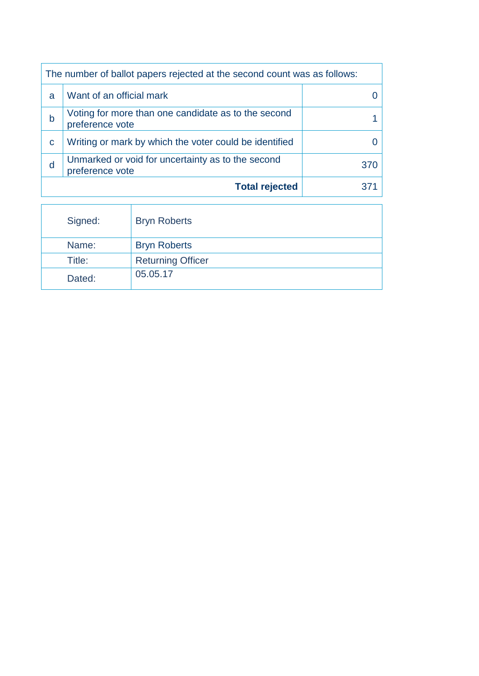|   | The number of ballot papers rejected at the second count was as follows: |     |  |
|---|--------------------------------------------------------------------------|-----|--|
| a | Want of an official mark                                                 |     |  |
| b | Voting for more than one candidate as to the second<br>preference vote   |     |  |
| C | Writing or mark by which the voter could be identified                   |     |  |
| d | Unmarked or void for uncertainty as to the second<br>preference vote     | 370 |  |
|   | <b>Total rejected</b>                                                    |     |  |

| Signed: | <b>Bryn Roberts</b>      |
|---------|--------------------------|
| Name:   | <b>Bryn Roberts</b>      |
| Title:  | <b>Returning Officer</b> |
| Dated:  | 05.05.17                 |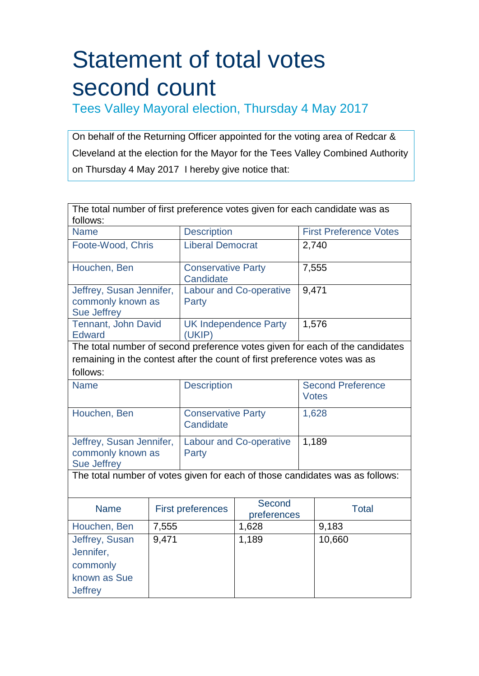Tees Valley Mayoral election, Thursday 4 May 2017

On behalf of the Returning Officer appointed for the voting area of Redcar & Cleveland at the election for the Mayor for the Tees Valley Combined Authority on Thursday 4 May 2017 I hereby give notice that:

| The total number of first preference votes given for each candidate was as |       |                                         |                              |  |                                                                              |  |
|----------------------------------------------------------------------------|-------|-----------------------------------------|------------------------------|--|------------------------------------------------------------------------------|--|
| follows:                                                                   |       |                                         |                              |  |                                                                              |  |
| <b>Name</b>                                                                |       | <b>Description</b>                      |                              |  | <b>First Preference Votes</b>                                                |  |
| Foote-Wood, Chris                                                          |       | Liberal Democrat                        |                              |  | 2,740                                                                        |  |
| Houchen, Ben                                                               |       | <b>Conservative Party</b><br>Candidate  |                              |  | 7,555                                                                        |  |
| Jeffrey, Susan Jennifer,<br>commonly known as<br><b>Sue Jeffrey</b>        |       | <b>Labour and Co-operative</b><br>Party |                              |  | 9,471                                                                        |  |
| Tennant, John David<br><b>Edward</b>                                       |       | (UKIP)                                  | <b>UK</b> Independence Party |  | 1,576                                                                        |  |
|                                                                            |       |                                         |                              |  | The total number of second preference votes given for each of the candidates |  |
| remaining in the contest after the count of first preference votes was as  |       |                                         |                              |  |                                                                              |  |
| follows:                                                                   |       |                                         |                              |  |                                                                              |  |
| <b>Name</b>                                                                |       | <b>Description</b>                      |                              |  | <b>Second Preference</b><br><b>Votes</b>                                     |  |
| Houchen, Ben                                                               |       | <b>Conservative Party</b><br>Candidate  |                              |  | 1,628                                                                        |  |
| Jeffrey, Susan Jennifer,<br>commonly known as<br><b>Sue Jeffrey</b>        |       | <b>Labour and Co-operative</b><br>Party |                              |  | 1,189                                                                        |  |
|                                                                            |       |                                         |                              |  | The total number of votes given for each of those candidates was as follows: |  |
|                                                                            |       |                                         |                              |  |                                                                              |  |
| <b>Name</b>                                                                |       | <b>First preferences</b>                | Second<br>preferences        |  | <b>Total</b>                                                                 |  |
| Houchen, Ben                                                               | 7,555 |                                         | 1,628                        |  | 9,183                                                                        |  |
| Jeffrey, Susan<br>Jennifer,<br>commonly                                    | 9,471 |                                         | 1,189                        |  | 10,660                                                                       |  |
| known as Sue<br><b>Jeffrey</b>                                             |       |                                         |                              |  |                                                                              |  |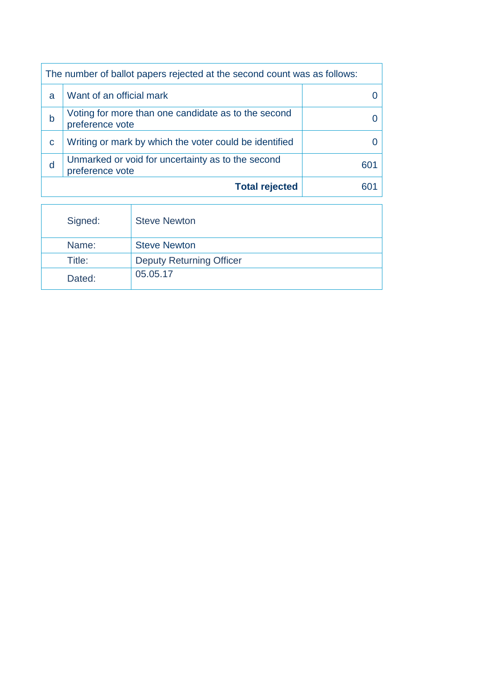|   | The number of ballot papers rejected at the second count was as follows: |  |  |
|---|--------------------------------------------------------------------------|--|--|
| a | Want of an official mark                                                 |  |  |
| b | Voting for more than one candidate as to the second<br>preference vote   |  |  |
| C | Writing or mark by which the voter could be identified                   |  |  |
| d | Unmarked or void for uncertainty as to the second<br>preference vote     |  |  |
|   | <b>Total rejected</b>                                                    |  |  |

| Signed: | <b>Steve Newton</b>             |
|---------|---------------------------------|
| Name:   | <b>Steve Newton</b>             |
| Title:  | <b>Deputy Returning Officer</b> |
| Dated:  | 05.05.17                        |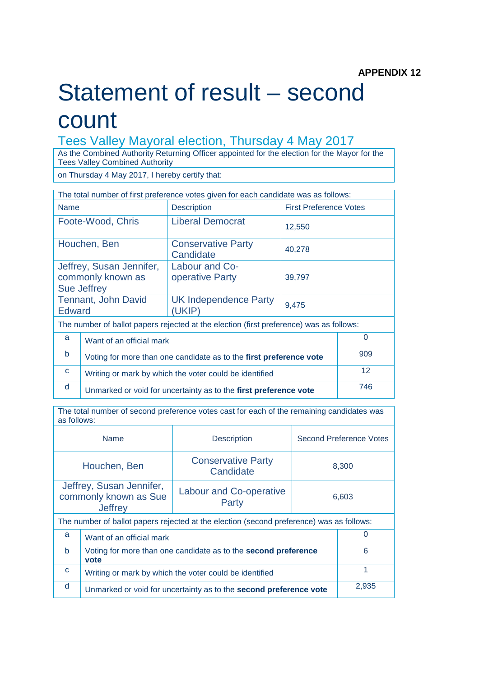### Statement of result – second count

#### Tees Valley Mayoral election, Thursday 4 May 2017

As the Combined Authority Returning Officer appointed for the election for the Mayor for the Tees Valley Combined Authority

on Thursday 4 May 2017, I hereby certify that:

| The total number of first preference votes given for each candidate was as follows:     |                                                                    |                                        |                               |                 |
|-----------------------------------------------------------------------------------------|--------------------------------------------------------------------|----------------------------------------|-------------------------------|-----------------|
| <b>Name</b>                                                                             |                                                                    | <b>Description</b>                     | <b>First Preference Votes</b> |                 |
| Foote-Wood, Chris                                                                       |                                                                    | <b>Liberal Democrat</b>                | 12,550                        |                 |
| Houchen, Ben                                                                            |                                                                    | <b>Conservative Party</b><br>Candidate | 40,278                        |                 |
| <b>Sue Jeffrey</b>                                                                      | Jeffrey, Susan Jennifer,<br>commonly known as                      | Labour and Co-<br>operative Party      | 39,797                        |                 |
| <b>Edward</b>                                                                           | Tennant, John David                                                | <b>UK Independence Party</b><br>(UKIP) | 9,475                         |                 |
| The number of ballot papers rejected at the election (first preference) was as follows: |                                                                    |                                        |                               |                 |
| a                                                                                       | $\Omega$<br>Want of an official mark                               |                                        |                               |                 |
| b                                                                                       | Voting for more than one candidate as to the first preference vote |                                        |                               | 909             |
| $\mathbf{C}$                                                                            | Writing or mark by which the voter could be identified             |                                        |                               | 12 <sup>2</sup> |
| d                                                                                       | Unmarked or void for uncertainty as to the first preference vote   |                                        |                               | 746             |

The total number of second preference votes cast for each of the remaining candidates was as follows:

| <b>Name</b><br><b>Description</b>                                                                                |                                                                                    |                                        | Second Preference Votes |  |
|------------------------------------------------------------------------------------------------------------------|------------------------------------------------------------------------------------|----------------------------------------|-------------------------|--|
| Houchen, Ben                                                                                                     |                                                                                    | <b>Conservative Party</b><br>Candidate | 8,300                   |  |
| Jeffrey, Susan Jennifer,<br>Labour and Co-operative<br>commonly known as Sue<br>6.603<br>Party<br><b>Jeffrey</b> |                                                                                    |                                        |                         |  |
| The number of ballot papers rejected at the election (second preference) was as follows:                         |                                                                                    |                                        |                         |  |
| a                                                                                                                | $\Omega$<br>Want of an official mark                                               |                                        |                         |  |
| <sub>b</sub>                                                                                                     | 6<br>Voting for more than one candidate as to the <b>second preference</b><br>vote |                                        |                         |  |
| C                                                                                                                | 1<br>Writing or mark by which the voter could be identified                        |                                        |                         |  |
| d                                                                                                                | 2,935<br>Unmarked or void for uncertainty as to the second preference vote         |                                        |                         |  |